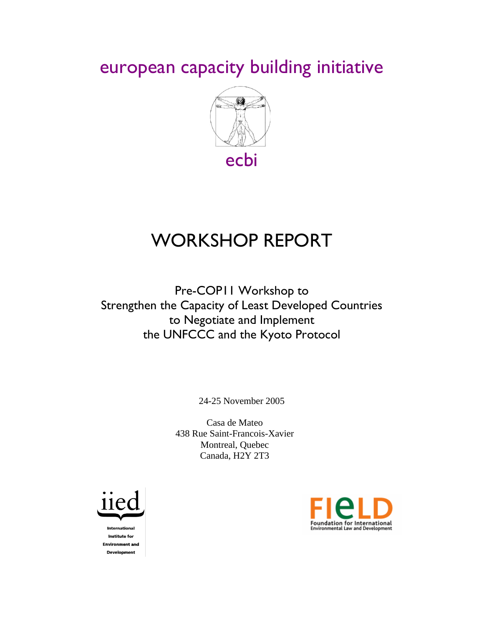european capacity building initiative



# WORKSHOP REPORT

Pre-COP11 Workshop to Strengthen the Capacity of Least Developed Countries to Negotiate and Implement the UNFCCC and the Kyoto Protocol

24-25 November 2005

Casa de Mateo 438 Rue Saint-Francois-Xavier Montreal, Quebec Canada, H2Y 2T3



**International Institute for Environment and Development** 

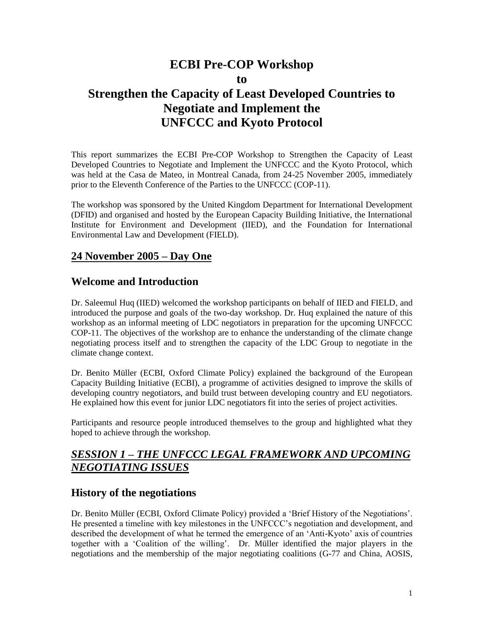### **ECBI Pre-COP Workshop to**

### **Strengthen the Capacity of Least Developed Countries to Negotiate and Implement the UNFCCC and Kyoto Protocol**

This report summarizes the ECBI Pre-COP Workshop to Strengthen the Capacity of Least Developed Countries to Negotiate and Implement the UNFCCC and the Kyoto Protocol, which was held at the Casa de Mateo, in Montreal Canada, from 24-25 November 2005, immediately prior to the Eleventh Conference of the Parties to the UNFCCC (COP-11).

The workshop was sponsored by the United Kingdom Department for International Development (DFID) and organised and hosted by the European Capacity Building Initiative, the International Institute for Environment and Development (IIED), and the Foundation for International Environmental Law and Development (FIELD).

### **24 November 2005 – Day One**

### **Welcome and Introduction**

Dr. Saleemul Huq (IIED) welcomed the workshop participants on behalf of IIED and FIELD, and introduced the purpose and goals of the two-day workshop. Dr. Huq explained the nature of this workshop as an informal meeting of LDC negotiators in preparation for the upcoming UNFCCC COP-11. The objectives of the workshop are to enhance the understanding of the climate change negotiating process itself and to strengthen the capacity of the LDC Group to negotiate in the climate change context.

Dr. Benito Müller (ECBI, Oxford Climate Policy) explained the background of the European Capacity Building Initiative (ECBI), a programme of activities designed to improve the skills of developing country negotiators, and build trust between developing country and EU negotiators. He explained how this event for junior LDC negotiators fit into the series of project activities.

Participants and resource people introduced themselves to the group and highlighted what they hoped to achieve through the workshop.

### *SESSION 1 – THE UNFCCC LEGAL FRAMEWORK AND UPCOMING NEGOTIATING ISSUES*

### **History of the negotiations**

Dr. Benito Müller (ECBI, Oxford Climate Policy) provided a 'Brief History of the Negotiations'. He presented a timeline with key milestones in the UNFCCC's negotiation and development, and described the development of what he termed the emergence of an 'Anti-Kyoto' axis of countries together with a 'Coalition of the willing'. Dr. Müller identified the major players in the negotiations and the membership of the major negotiating coalitions (G-77 and China, AOSIS,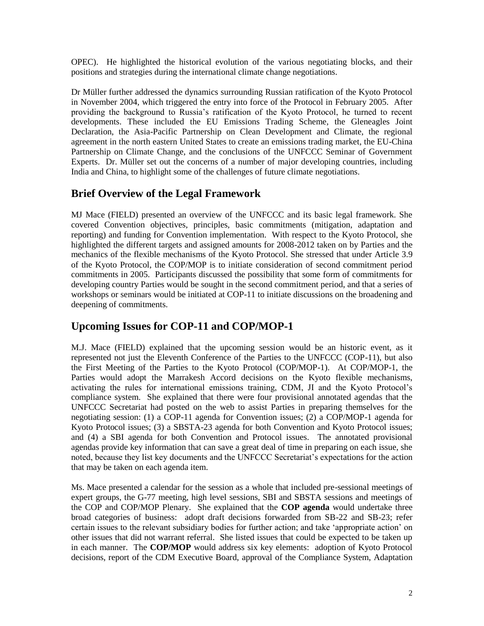OPEC). He highlighted the historical evolution of the various negotiating blocks, and their positions and strategies during the international climate change negotiations.

Dr Müller further addressed the dynamics surrounding Russian ratification of the Kyoto Protocol in November 2004, which triggered the entry into force of the Protocol in February 2005. After providing the background to Russia's ratification of the Kyoto Protocol, he turned to recent developments. These included the EU Emissions Trading Scheme, the Gleneagles Joint Declaration, the Asia-Pacific Partnership on Clean Development and Climate, the regional agreement in the north eastern United States to create an emissions trading market, the EU-China Partnership on Climate Change, and the conclusions of the UNFCCC Seminar of Government Experts. Dr. Müller set out the concerns of a number of major developing countries, including India and China, to highlight some of the challenges of future climate negotiations.

### **Brief Overview of the Legal Framework**

MJ Mace (FIELD) presented an overview of the UNFCCC and its basic legal framework. She covered Convention objectives, principles, basic commitments (mitigation, adaptation and reporting) and funding for Convention implementation. With respect to the Kyoto Protocol, she highlighted the different targets and assigned amounts for 2008-2012 taken on by Parties and the mechanics of the flexible mechanisms of the Kyoto Protocol. She stressed that under Article 3.9 of the Kyoto Protocol, the COP/MOP is to initiate consideration of second commitment period commitments in 2005. Participants discussed the possibility that some form of commitments for developing country Parties would be sought in the second commitment period, and that a series of workshops or seminars would be initiated at COP-11 to initiate discussions on the broadening and deepening of commitments.

### **Upcoming Issues for COP-11 and COP/MOP-1**

M.J. Mace (FIELD) explained that the upcoming session would be an historic event, as it represented not just the Eleventh Conference of the Parties to the UNFCCC (COP-11), but also the First Meeting of the Parties to the Kyoto Protocol (COP/MOP-1). At COP/MOP-1, the Parties would adopt the Marrakesh Accord decisions on the Kyoto flexible mechanisms, activating the rules for international emissions training, CDM, JI and the Kyoto Protocol's compliance system. She explained that there were four provisional annotated agendas that the UNFCCC Secretariat had posted on the web to assist Parties in preparing themselves for the negotiating session: (1) a COP-11 agenda for Convention issues; (2) a COP/MOP-1 agenda for Kyoto Protocol issues; (3) a SBSTA-23 agenda for both Convention and Kyoto Protocol issues; and (4) a SBI agenda for both Convention and Protocol issues. The annotated provisional agendas provide key information that can save a great deal of time in preparing on each issue, she noted, because they list key documents and the UNFCCC Secretariat's expectations for the action that may be taken on each agenda item.

Ms. Mace presented a calendar for the session as a whole that included pre-sessional meetings of expert groups, the G-77 meeting, high level sessions, SBI and SBSTA sessions and meetings of the COP and COP/MOP Plenary. She explained that the **COP agenda** would undertake three broad categories of business: adopt draft decisions forwarded from SB-22 and SB-23; refer certain issues to the relevant subsidiary bodies for further action; and take 'appropriate action' on other issues that did not warrant referral. She listed issues that could be expected to be taken up in each manner. The **COP/MOP** would address six key elements: adoption of Kyoto Protocol decisions, report of the CDM Executive Board, approval of the Compliance System, Adaptation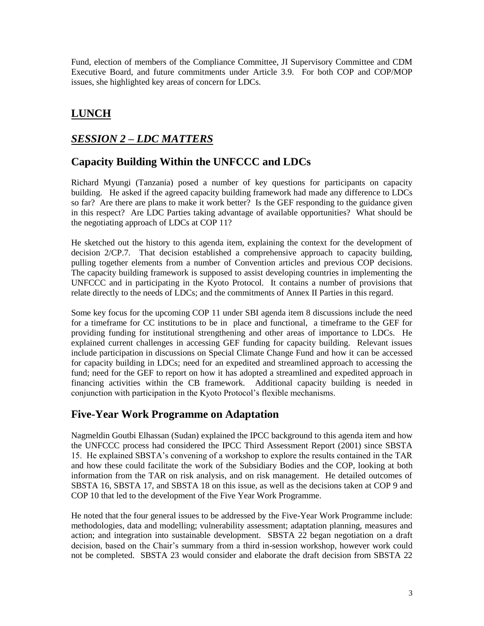Fund, election of members of the Compliance Committee, JI Supervisory Committee and CDM Executive Board, and future commitments under Article 3.9. For both COP and COP/MOP issues, she highlighted key areas of concern for LDCs.

### **LUNCH**

### *SESSION 2 – LDC MATTERS*

### **Capacity Building Within the UNFCCC and LDCs**

Richard Myungi (Tanzania) posed a number of key questions for participants on capacity building. He asked if the agreed capacity building framework had made any difference to LDCs so far? Are there are plans to make it work better? Is the GEF responding to the guidance given in this respect? Are LDC Parties taking advantage of available opportunities? What should be the negotiating approach of LDCs at COP 11?

He sketched out the history to this agenda item, explaining the context for the development of decision 2/CP.7. That decision established a comprehensive approach to capacity building, pulling together elements from a number of Convention articles and previous COP decisions. The capacity building framework is supposed to assist developing countries in implementing the UNFCCC and in participating in the Kyoto Protocol. It contains a number of provisions that relate directly to the needs of LDCs; and the commitments of Annex II Parties in this regard.

Some key focus for the upcoming COP 11 under SBI agenda item 8 discussions include the need for a timeframe for CC institutions to be in place and functional, a timeframe to the GEF for providing funding for institutional strengthening and other areas of importance to LDCs. He explained current challenges in accessing GEF funding for capacity building. Relevant issues include participation in discussions on Special Climate Change Fund and how it can be accessed for capacity building in LDCs; need for an expedited and streamlined approach to accessing the fund; need for the GEF to report on how it has adopted a streamlined and expedited approach in financing activities within the CB framework. Additional capacity building is needed in conjunction with participation in the Kyoto Protocol's flexible mechanisms.

### **Five-Year Work Programme on Adaptation**

Nagmeldin Goutbi Elhassan (Sudan) explained the IPCC background to this agenda item and how the UNFCCC process had considered the IPCC Third Assessment Report (2001) since SBSTA 15. He explained SBSTA's convening of a workshop to explore the results contained in the TAR and how these could facilitate the work of the Subsidiary Bodies and the COP, looking at both information from the TAR on risk analysis, and on risk management. He detailed outcomes of SBSTA 16, SBSTA 17, and SBSTA 18 on this issue, as well as the decisions taken at COP 9 and COP 10 that led to the development of the Five Year Work Programme.

He noted that the four general issues to be addressed by the Five-Year Work Programme include: methodologies, data and modelling; vulnerability assessment; adaptation planning, measures and action; and integration into sustainable development. SBSTA 22 began negotiation on a draft decision, based on the Chair's summary from a third in-session workshop, however work could not be completed. SBSTA 23 would consider and elaborate the draft decision from SBSTA 22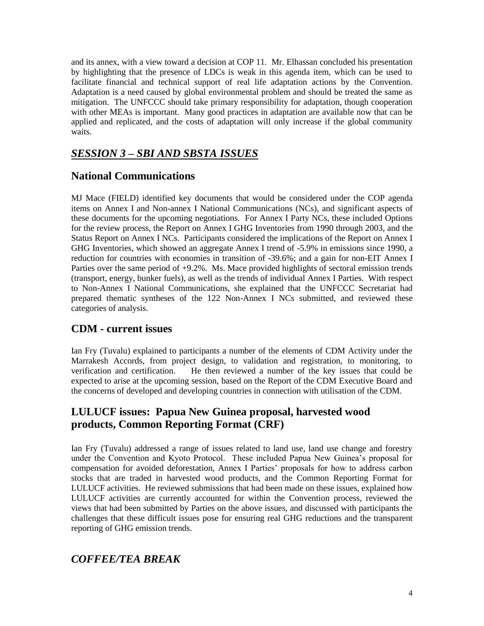and its annex, with a view toward a decision at COP 11. Mr. Elhassan concluded his presentation by highlighting that the presence of LDCs is weak in this agenda item, which can be used to facilitate financial and technical support of real life adaptation actions by the Convention. Adaptation is a need caused by global environmental problem and should be treated the same as mitigation. The UNFCCC should take primary responsibility for adaptation, though cooperation with other MEAs is important. Many good practices in adaptation are available now that can be applied and replicated, and the costs of adaptation will only increase if the global community waits.

### *SESSION 3 – SBI AND SBSTA ISSUES*

### **National Communications**

MJ Mace (FIELD) identified key documents that would be considered under the COP agenda items on Annex I and Non-annex I National Communications (NCs), and significant aspects of these documents for the upcoming negotiations. For Annex I Party NCs, these included Options for the review process, the Report on Annex I GHG Inventories from 1990 through 2003, and the Status Report on Annex I NCs. Participants considered the implications of the Report on Annex I GHG Inventories, which showed an aggregate Annex I trend of -5.9% in emissions since 1990, a reduction for countries with economies in transition of -39.6%; and a gain for non-EIT Annex I Parties over the same period of  $+9.2\%$ . Ms. Mace provided highlights of sectoral emission trends (transport, energy, bunker fuels), as well as the trends of individual Annex I Parties. With respect to Non-Annex I National Communications, she explained that the UNFCCC Secretariat had prepared thematic syntheses of the 122 Non-Annex I NCs submitted, and reviewed these categories of analysis.

### **CDM - current issues**

Ian Fry (Tuvalu) explained to participants a number of the elements of CDM Activity under the Marrakesh Accords, from project design, to validation and registration, to monitoring, to verification and certification. He then reviewed a number of the key issues that could be expected to arise at the upcoming session, based on the Report of the CDM Executive Board and the concerns of developed and developing countries in connection with utilisation of the CDM.

### **LULUCF issues: Papua New Guinea proposal, harvested wood products, Common Reporting Format (CRF)**

Ian Fry (Tuvalu) addressed a range of issues related to land use, land use change and forestry under the Convention and Kyoto Protocol. These included Papua New Guinea's proposal for compensation for avoided deforestation, Annex I Parties' proposals for how to address carbon stocks that are traded in harvested wood products, and the Common Reporting Format for LULUCF activities. He reviewed submissions that had been made on these issues, explained how LULUCF activities are currently accounted for within the Convention process, reviewed the views that had been submitted by Parties on the above issues, and discussed with participants the challenges that these difficult issues pose for ensuring real GHG reductions and the transparent reporting of GHG emission trends.

### *COFFEE/TEA BREAK*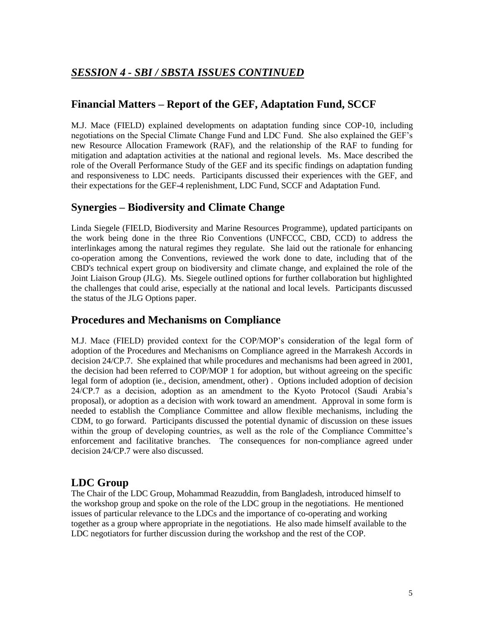### *SESSION 4 - SBI / SBSTA ISSUES CONTINUED*

### **Financial Matters – Report of the GEF, Adaptation Fund, SCCF**

M.J. Mace (FIELD) explained developments on adaptation funding since COP-10, including negotiations on the Special Climate Change Fund and LDC Fund. She also explained the GEF's new Resource Allocation Framework (RAF), and the relationship of the RAF to funding for mitigation and adaptation activities at the national and regional levels. Ms. Mace described the role of the Overall Performance Study of the GEF and its specific findings on adaptation funding and responsiveness to LDC needs. Participants discussed their experiences with the GEF, and their expectations for the GEF-4 replenishment, LDC Fund, SCCF and Adaptation Fund.

### **Synergies – Biodiversity and Climate Change**

Linda Siegele (FIELD, Biodiversity and Marine Resources Programme), updated participants on the work being done in the three Rio Conventions (UNFCCC, CBD, CCD) to address the interlinkages among the natural regimes they regulate. She laid out the rationale for enhancing co-operation among the Conventions, reviewed the work done to date, including that of the CBD's technical expert group on biodiversity and climate change, and explained the role of the Joint Liaison Group (JLG). Ms. Siegele outlined options for further collaboration but highlighted the challenges that could arise, especially at the national and local levels. Participants discussed the status of the JLG Options paper.

### **Procedures and Mechanisms on Compliance**

M.J. Mace (FIELD) provided context for the COP/MOP's consideration of the legal form of adoption of the Procedures and Mechanisms on Compliance agreed in the Marrakesh Accords in decision 24/CP.7. She explained that while procedures and mechanisms had been agreed in 2001, the decision had been referred to COP/MOP 1 for adoption, but without agreeing on the specific legal form of adoption (ie., decision, amendment, other) . Options included adoption of decision 24/CP.7 as a decision, adoption as an amendment to the Kyoto Protocol (Saudi Arabia's proposal), or adoption as a decision with work toward an amendment. Approval in some form is needed to establish the Compliance Committee and allow flexible mechanisms, including the CDM, to go forward. Participants discussed the potential dynamic of discussion on these issues within the group of developing countries, as well as the role of the Compliance Committee's enforcement and facilitative branches. The consequences for non-compliance agreed under decision 24/CP.7 were also discussed.

### **LDC Group**

The Chair of the LDC Group, Mohammad Reazuddin, from Bangladesh, introduced himself to the workshop group and spoke on the role of the LDC group in the negotiations. He mentioned issues of particular relevance to the LDCs and the importance of co-operating and working together as a group where appropriate in the negotiations. He also made himself available to the LDC negotiators for further discussion during the workshop and the rest of the COP.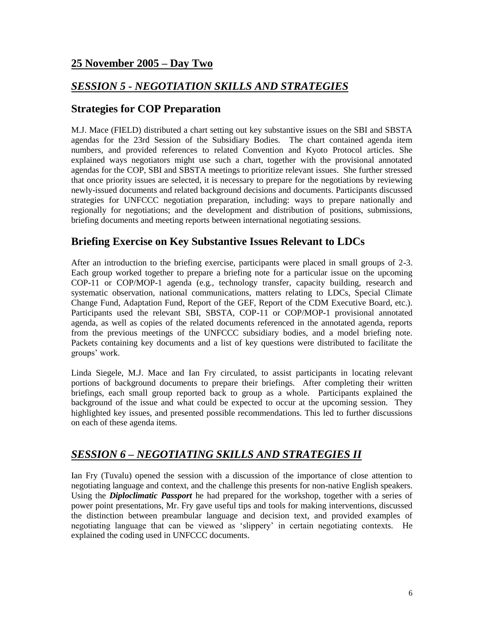### **25 November 2005 – Day Two**

### *SESSION 5 - NEGOTIATION SKILLS AND STRATEGIES*

### **Strategies for COP Preparation**

M.J. Mace (FIELD) distributed a chart setting out key substantive issues on the SBI and SBSTA agendas for the 23rd Session of the Subsidiary Bodies. The chart contained agenda item numbers, and provided references to related Convention and Kyoto Protocol articles. She explained ways negotiators might use such a chart, together with the provisional annotated agendas for the COP, SBI and SBSTA meetings to prioritize relevant issues. She further stressed that once priority issues are selected, it is necessary to prepare for the negotiations by reviewing newly-issued documents and related background decisions and documents. Participants discussed strategies for UNFCCC negotiation preparation, including: ways to prepare nationally and regionally for negotiations; and the development and distribution of positions, submissions, briefing documents and meeting reports between international negotiating sessions.

### **Briefing Exercise on Key Substantive Issues Relevant to LDCs**

After an introduction to the briefing exercise, participants were placed in small groups of 2-3. Each group worked together to prepare a briefing note for a particular issue on the upcoming COP-11 or COP/MOP-1 agenda (e.g., technology transfer, capacity building, research and systematic observation, national communications, matters relating to LDCs, Special Climate Change Fund, Adaptation Fund, Report of the GEF, Report of the CDM Executive Board, etc.). Participants used the relevant SBI, SBSTA, COP-11 or COP/MOP-1 provisional annotated agenda, as well as copies of the related documents referenced in the annotated agenda, reports from the previous meetings of the UNFCCC subsidiary bodies, and a model briefing note. Packets containing key documents and a list of key questions were distributed to facilitate the groups' work.

Linda Siegele, M.J. Mace and Ian Fry circulated, to assist participants in locating relevant portions of background documents to prepare their briefings. After completing their written briefings, each small group reported back to group as a whole. Participants explained the background of the issue and what could be expected to occur at the upcoming session. They highlighted key issues, and presented possible recommendations. This led to further discussions on each of these agenda items.

### *SESSION 6 – NEGOTIATING SKILLS AND STRATEGIES II*

Ian Fry (Tuvalu) opened the session with a discussion of the importance of close attention to negotiating language and context, and the challenge this presents for non-native English speakers. Using the *Diploclimatic Passport* he had prepared for the workshop, together with a series of power point presentations, Mr. Fry gave useful tips and tools for making interventions, discussed the distinction between preambular language and decision text, and provided examples of negotiating language that can be viewed as 'slippery' in certain negotiating contexts. He explained the coding used in UNFCCC documents.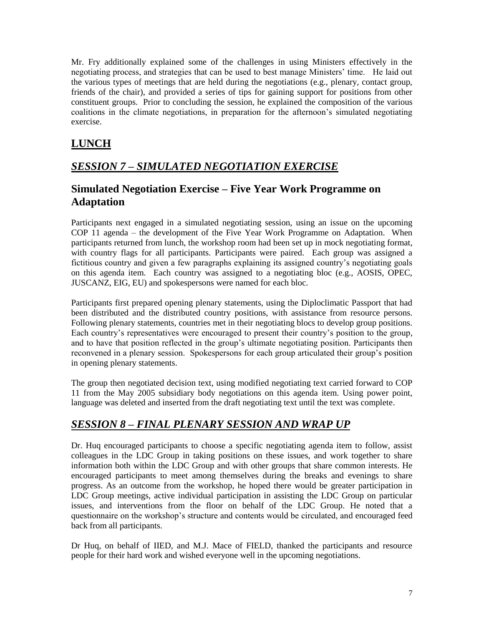Mr. Fry additionally explained some of the challenges in using Ministers effectively in the negotiating process, and strategies that can be used to best manage Ministers' time. He laid out the various types of meetings that are held during the negotiations (e.g., plenary, contact group, friends of the chair), and provided a series of tips for gaining support for positions from other constituent groups. Prior to concluding the session, he explained the composition of the various coalitions in the climate negotiations, in preparation for the afternoon's simulated negotiating exercise.

### **LUNCH**

### *SESSION 7 – SIMULATED NEGOTIATION EXERCISE*

### **Simulated Negotiation Exercise – Five Year Work Programme on Adaptation**

Participants next engaged in a simulated negotiating session, using an issue on the upcoming COP 11 agenda – the development of the Five Year Work Programme on Adaptation. When participants returned from lunch, the workshop room had been set up in mock negotiating format, with country flags for all participants. Participants were paired. Each group was assigned a fictitious country and given a few paragraphs explaining its assigned country's negotiating goals on this agenda item. Each country was assigned to a negotiating bloc (e.g., AOSIS, OPEC, JUSCANZ, EIG, EU) and spokespersons were named for each bloc.

Participants first prepared opening plenary statements, using the Diploclimatic Passport that had been distributed and the distributed country positions, with assistance from resource persons. Following plenary statements, countries met in their negotiating blocs to develop group positions. Each country's representatives were encouraged to present their country's position to the group, and to have that position reflected in the group's ultimate negotiating position. Participants then reconvened in a plenary session. Spokespersons for each group articulated their group's position in opening plenary statements.

The group then negotiated decision text, using modified negotiating text carried forward to COP 11 from the May 2005 subsidiary body negotiations on this agenda item. Using power point, language was deleted and inserted from the draft negotiating text until the text was complete.

### *SESSION 8 – FINAL PLENARY SESSION AND WRAP UP*

Dr. Huq encouraged participants to choose a specific negotiating agenda item to follow, assist colleagues in the LDC Group in taking positions on these issues, and work together to share information both within the LDC Group and with other groups that share common interests. He encouraged participants to meet among themselves during the breaks and evenings to share progress. As an outcome from the workshop, he hoped there would be greater participation in LDC Group meetings, active individual participation in assisting the LDC Group on particular issues, and interventions from the floor on behalf of the LDC Group. He noted that a questionnaire on the workshop's structure and contents would be circulated, and encouraged feed back from all participants.

Dr Huq, on behalf of IIED, and M.J. Mace of FIELD, thanked the participants and resource people for their hard work and wished everyone well in the upcoming negotiations.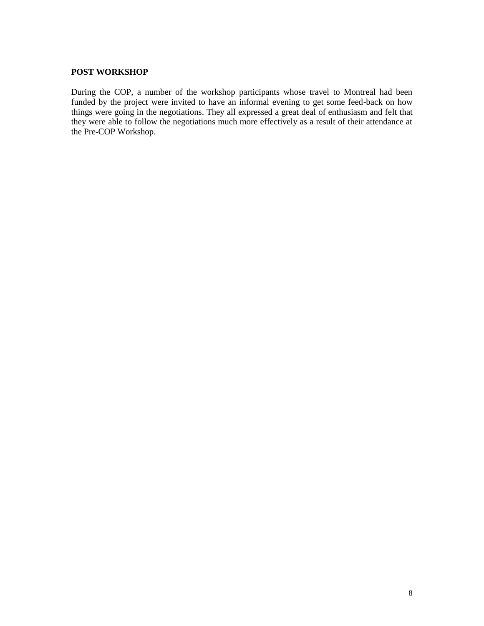#### **POST WORKSHOP**

During the COP, a number of the workshop participants whose travel to Montreal had been funded by the project were invited to have an informal evening to get some feed-back on how things were going in the negotiations. They all expressed a great deal of enthusiasm and felt that they were able to follow the negotiations much more effectively as a result of their attendance at the Pre-COP Workshop.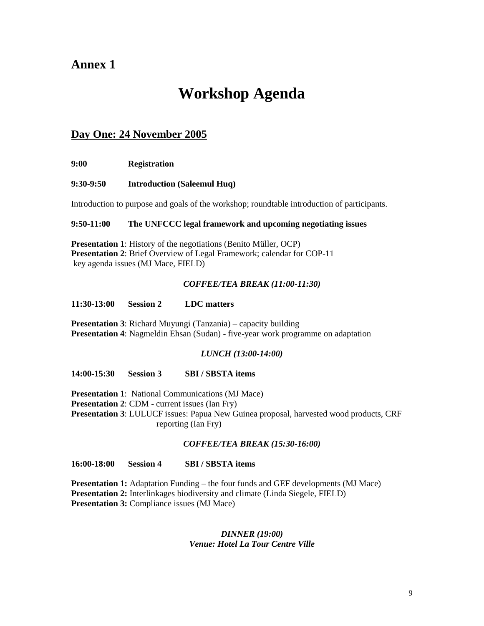# **Workshop Agenda**

### **Day One: 24 November 2005**

**9:00 Registration** 

#### **9:30-9:50 Introduction (Saleemul Huq)**

Introduction to purpose and goals of the workshop; roundtable introduction of participants.

#### **9:50-11:00 The UNFCCC legal framework and upcoming negotiating issues**

**Presentation 1:** History of the negotiations (Benito Müller, OCP) **Presentation 2**: Brief Overview of Legal Framework; calendar for COP-11 key agenda issues (MJ Mace, FIELD)

#### *COFFEE/TEA BREAK (11:00-11:30)*

#### **11:30-13:00 Session 2 LDC matters**

**Presentation 3**: Richard Muyungi (Tanzania) – capacity building **Presentation 4**: Nagmeldin Ehsan (Sudan) - five-year work programme on adaptation

#### *LUNCH (13:00-14:00)*

**14:00-15:30 Session 3 SBI / SBSTA items** 

**Presentation 1**: National Communications (MJ Mace)

**Presentation 2**: CDM - current issues (Ian Fry)

**Presentation 3**: LULUCF issues: Papua New Guinea proposal, harvested wood products, CRF reporting (Ian Fry)

#### *COFFEE/TEA BREAK (15:30-16:00)*

**16:00-18:00 Session 4 SBI / SBSTA items**

**Presentation 1:** Adaptation Funding – the four funds and GEF developments (MJ Mace) **Presentation 2:** Interlinkages biodiversity and climate (Linda Siegele, FIELD) **Presentation 3:** Compliance issues (MJ Mace)

#### *DINNER (19:00) Venue: Hotel La Tour Centre Ville*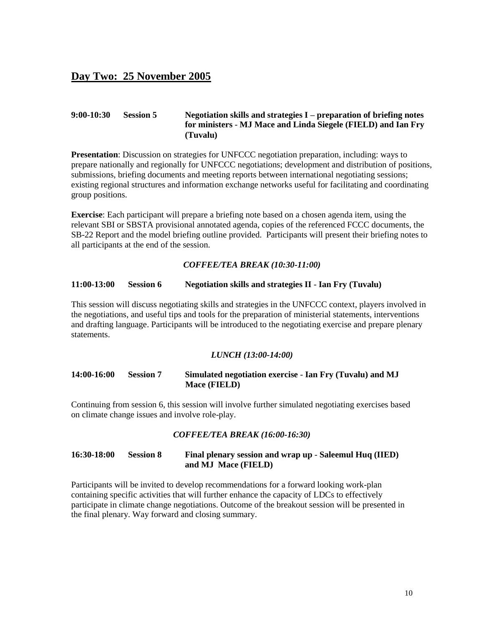### **Day Two: 25 November 2005**

#### **9:00-10:30 Session 5 Negotiation skills and strategies I – preparation of briefing notes for ministers** - **MJ Mace and Linda Siegele (FIELD) and Ian Fry (Tuvalu)**

**Presentation**: Discussion on strategies for UNFCCC negotiation preparation, including: ways to prepare nationally and regionally for UNFCCC negotiations; development and distribution of positions, submissions, briefing documents and meeting reports between international negotiating sessions; existing regional structures and information exchange networks useful for facilitating and coordinating group positions.

**Exercise**: Each participant will prepare a briefing note based on a chosen agenda item, using the relevant SBI or SBSTA provisional annotated agenda, copies of the referenced FCCC documents, the SB-22 Report and the model briefing outline provided. Participants will present their briefing notes to all participants at the end of the session.

#### *COFFEE/TEA BREAK (10:30-11:00)*

#### **11:00-13:00 Session 6 Negotiation skills and strategies II** - **Ian Fry (Tuvalu)**

This session will discuss negotiating skills and strategies in the UNFCCC context, players involved in the negotiations, and useful tips and tools for the preparation of ministerial statements, interventions and drafting language. Participants will be introduced to the negotiating exercise and prepare plenary statements.

#### *LUNCH (13:00-14:00)*

#### **14:00-16:00 Session 7 Simulated negotiation exercise** - **Ian Fry (Tuvalu) and MJ Mace (FIELD)**

Continuing from session 6, this session will involve further simulated negotiating exercises based on climate change issues and involve role-play.

#### *COFFEE/TEA BREAK (16:00-16:30)*

#### **16:30-18:00 Session 8 Final plenary session and wrap up** - **Saleemul Huq (IIED) and MJ Mace (FIELD)**

Participants will be invited to develop recommendations for a forward looking work-plan containing specific activities that will further enhance the capacity of LDCs to effectively participate in climate change negotiations. Outcome of the breakout session will be presented in the final plenary. Way forward and closing summary.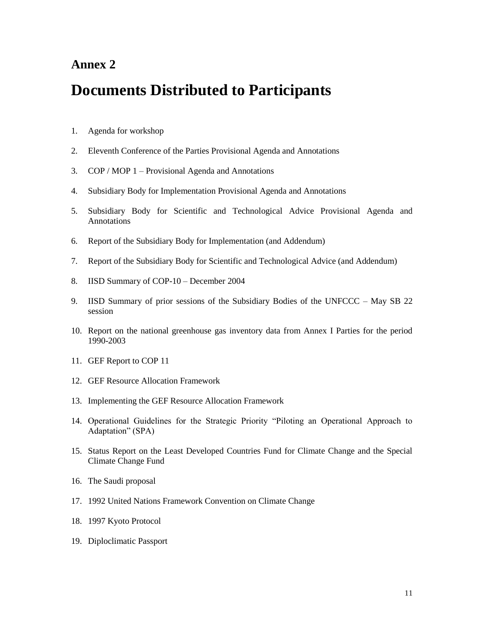## **Documents Distributed to Participants**

- 1. Agenda for workshop
- 2. Eleventh Conference of the Parties Provisional Agenda and Annotations
- 3. COP / MOP 1 Provisional Agenda and Annotations
- 4. Subsidiary Body for Implementation Provisional Agenda and Annotations
- 5. Subsidiary Body for Scientific and Technological Advice Provisional Agenda and Annotations
- 6. Report of the Subsidiary Body for Implementation (and Addendum)
- 7. Report of the Subsidiary Body for Scientific and Technological Advice (and Addendum)
- 8. IISD Summary of COP-10 December 2004
- 9. IISD Summary of prior sessions of the Subsidiary Bodies of the UNFCCC May SB 22 session
- 10. Report on the national greenhouse gas inventory data from Annex I Parties for the period 1990-2003
- 11. GEF Report to COP 11
- 12. GEF Resource Allocation Framework
- 13. Implementing the GEF Resource Allocation Framework
- 14. Operational Guidelines for the Strategic Priority "Piloting an Operational Approach to Adaptation" (SPA)
- 15. Status Report on the Least Developed Countries Fund for Climate Change and the Special Climate Change Fund
- 16. The Saudi proposal
- 17. 1992 United Nations Framework Convention on Climate Change
- 18. 1997 Kyoto Protocol
- 19. Diploclimatic Passport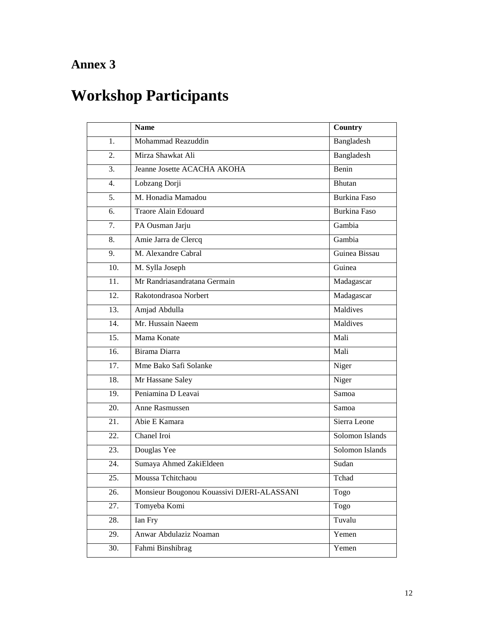# **Workshop Participants**

|                   | <b>Name</b>                                | Country             |
|-------------------|--------------------------------------------|---------------------|
| 1.                | Mohammad Reazuddin                         | Bangladesh          |
| 2.                | Mirza Shawkat Ali                          | Bangladesh          |
| 3.                | Jeanne Josette ACACHA AKOHA                | Benin               |
| 4.                | Lobzang Dorji                              | Bhutan              |
| $\overline{5}$ .  | M. Honadia Mamadou                         | <b>Burkina Faso</b> |
| 6.                | <b>Traore Alain Edouard</b>                | <b>Burkina Faso</b> |
| 7.                | PA Ousman Jarju                            | Gambia              |
| 8.                | Amie Jarra de Clercq                       | Gambia              |
| 9.                | M. Alexandre Cabral                        | Guinea Bissau       |
| 10.               | M. Sylla Joseph                            | Guinea              |
| 11.               | Mr Randriasandratana Germain               | Madagascar          |
| 12.               | Rakotondrasoa Norbert                      | Madagascar          |
| $\overline{13}$ . | Amjad Abdulla                              | Maldives            |
| 14.               | Mr. Hussain Naeem                          | Maldives            |
| 15.               | Mama Konate                                | Mali                |
| 16.               | Birama Diarra                              | Mali                |
| 17.               | Mme Bako Safi Solanke                      | Niger               |
| 18.               | Mr Hassane Saley                           | Niger               |
| 19.               | Peniamina D Leavai                         | Samoa               |
| 20.               | Anne Rasmussen                             | Samoa               |
| 21.               | Abie E Kamara                              | Sierra Leone        |
| 22.               | Chanel Iroi                                | Solomon Islands     |
| 23.               | Douglas Yee                                | Solomon Islands     |
| 24.               | Sumaya Ahmed ZakiEldeen                    | Sudan               |
| 25.               | Moussa Tchitchaou                          | Tchad               |
| 26.               | Monsieur Bougonou Kouassivi DJERI-ALASSANI | Togo                |
| 27.               | Tomyeba Komi                               | Togo                |
| 28.               | Ian Fry                                    | Tuvalu              |
| 29.               | Anwar Abdulaziz Noaman                     | Yemen               |
| 30.               | Fahmi Binshibrag                           | Yemen               |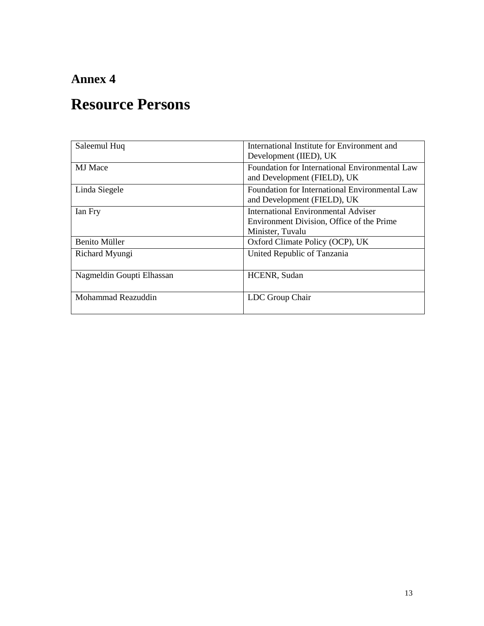# **Resource Persons**

| Saleemul Huq              | International Institute for Environment and<br>Development (IIED), UK                                       |
|---------------------------|-------------------------------------------------------------------------------------------------------------|
| <b>MJ</b> Mace            | Foundation for International Environmental Law<br>and Development (FIELD), UK                               |
| Linda Siegele             | Foundation for International Environmental Law<br>and Development (FIELD), UK                               |
| Ian Fry                   | <b>International Environmental Adviser</b><br>Environment Division, Office of the Prime<br>Minister, Tuvalu |
| <b>Benito Müller</b>      | Oxford Climate Policy (OCP), UK                                                                             |
| Richard Myungi            | United Republic of Tanzania                                                                                 |
| Nagmeldin Goupti Elhassan | HCENR, Sudan                                                                                                |
| Mohammad Reazuddin        | LDC Group Chair                                                                                             |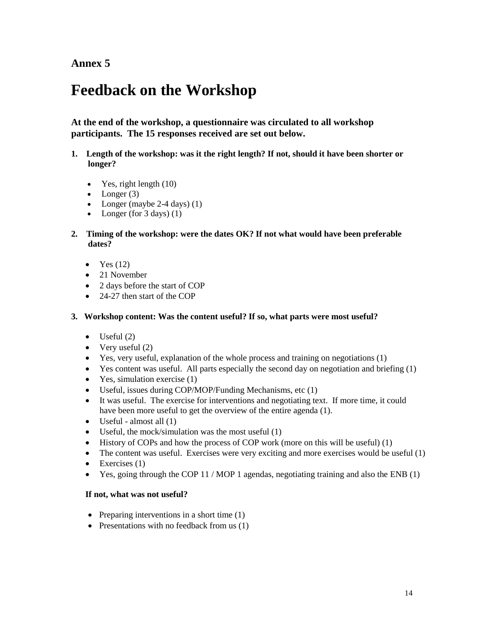# **Feedback on the Workshop**

**At the end of the workshop, a questionnaire was circulated to all workshop participants. The 15 responses received are set out below.** 

- **1. Length of the workshop: was it the right length? If not, should it have been shorter or longer?** 
	- $\bullet$  Yes, right length  $(10)$
	- Longer  $(3)$
	- Longer (maybe  $2-4$  days)  $(1)$
	- Longer (for  $3 \text{ days}$ ) (1)
- **2. Timing of the workshop: were the dates OK? If not what would have been preferable dates?** 
	- $\bullet$  Yes (12)
	- 21 November
	- 2 days before the start of COP
	- 24-27 then start of the COP

#### **3. Workshop content: Was the content useful? If so, what parts were most useful?**

- $\bullet$  Useful (2)
- Very useful  $(2)$
- Yes, very useful, explanation of the whole process and training on negotiations (1)
- $\bullet$  Yes content was useful. All parts especially the second day on negotiation and briefing (1)
- $\bullet$  Yes, simulation exercise (1)
- Useful, issues during COP/MOP/Funding Mechanisms, etc (1)
- It was useful. The exercise for interventions and negotiating text. If more time, it could have been more useful to get the overview of the entire agenda (1).
- $\bullet$  Useful almost all  $(1)$
- Useful, the mock/simulation was the most useful (1)
- $\bullet$  History of COPs and how the process of COP work (more on this will be useful) (1)
- $\bullet$  The content was useful. Exercises were very exciting and more exercises would be useful (1)
- $\bullet$  Exercises (1)
- $\bullet$  Yes, going through the COP 11 / MOP 1 agendas, negotiating training and also the ENB (1)

#### **If not, what was not useful?**

- Preparing interventions in a short time  $(1)$
- Presentations with no feedback from us  $(1)$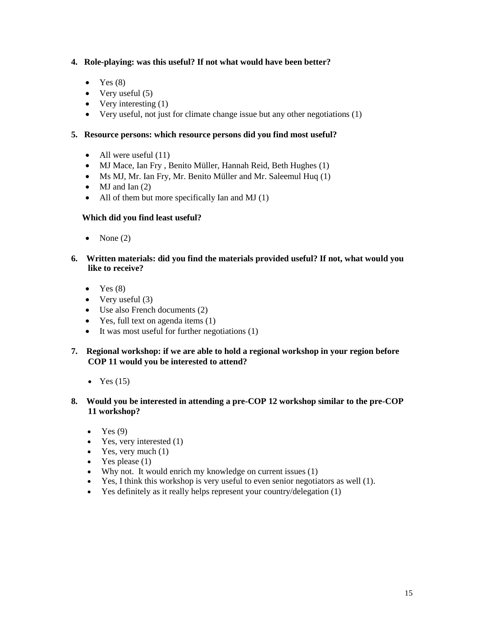#### **4. Role-playing: was this useful? If not what would have been better?**

- $\bullet$  Yes  $(8)$
- $\bullet$  Very useful (5)
- Very interesting  $(1)$
- Very useful, not just for climate change issue but any other negotiations (1)

#### **5. Resource persons: which resource persons did you find most useful?**

- All were useful  $(11)$
- MJ Mace, Ian Fry , Benito Müller, Hannah Reid, Beth Hughes (1)
- Ms MJ, Mr. Ian Fry, Mr. Benito Müller and Mr. Saleemul Huq (1)
- $\bullet$  MJ and Ian (2)
- $\bullet$  All of them but more specifically Ian and MJ (1)

#### **Which did you find least useful?**

- $\bullet$  None (2)
- **6. Written materials: did you find the materials provided useful? If not, what would you like to receive?** 
	- $\bullet$  Yes  $(8)$
	- $\bullet$  Very useful (3)
	- Use also French documents (2)
	- Yes, full text on agenda items (1)
	- $\bullet$  It was most useful for further negotiations (1)
- **7. Regional workshop: if we are able to hold a regional workshop in your region before COP 11 would you be interested to attend?** 
	- Yes  $(15)$
- **8. Would you be interested in attending a pre-COP 12 workshop similar to the pre-COP 11 workshop?** 
	- $\bullet$  Yes (9)
	- Yes, very interested  $(1)$
	- $\bullet$  Yes, very much  $(1)$
	- Yes please  $(1)$
	- Why not. It would enrich my knowledge on current issues (1)
	- Yes, I think this workshop is very useful to even senior negotiators as well (1).
	- Yes definitely as it really helps represent your country/delegation (1)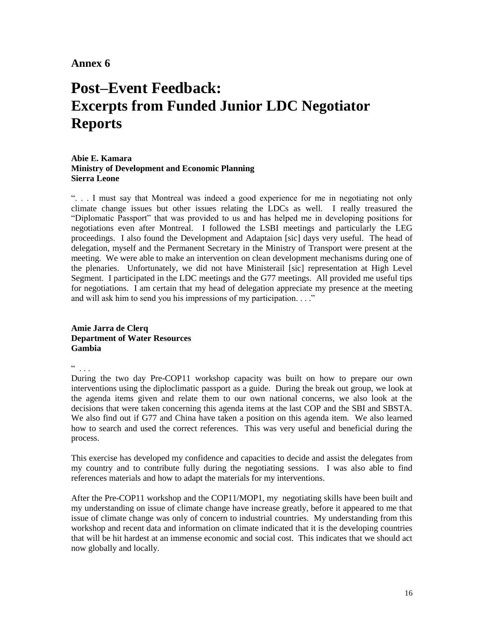# **Post–Event Feedback: Excerpts from Funded Junior LDC Negotiator Reports**

#### **Abie E. Kamara Ministry of Development and Economic Planning Sierra Leone**

". . . I must say that Montreal was indeed a good experience for me in negotiating not only climate change issues but other issues relating the LDCs as well. I really treasured the "Diplomatic Passport" that was provided to us and has helped me in developing positions for negotiations even after Montreal. I followed the LSBI meetings and particularly the LEG proceedings. I also found the Development and Adaptaion [sic] days very useful. The head of delegation, myself and the Permanent Secretary in the Ministry of Transport were present at the meeting. We were able to make an intervention on clean development mechanisms during one of the plenaries. Unfortunately, we did not have Ministerail [sic] representation at High Level Segment. I participated in the LDC meetings and the G77 meetings. All provided me useful tips for negotiations. I am certain that my head of delegation appreciate my presence at the meeting and will ask him to send you his impressions of my participation. . . ."

#### **Amie Jarra de Clerq Department of Water Resources Gambia**

 $\mathcal{L}$  . .

During the two day Pre-COP11 workshop capacity was built on how to prepare our own interventions using the diploclimatic passport as a guide. During the break out group, we look at the agenda items given and relate them to our own national concerns, we also look at the decisions that were taken concerning this agenda items at the last COP and the SBI and SBSTA. We also find out if G77 and China have taken a position on this agenda item. We also learned how to search and used the correct references. This was very useful and beneficial during the process.

This exercise has developed my confidence and capacities to decide and assist the delegates from my country and to contribute fully during the negotiating sessions. I was also able to find references materials and how to adapt the materials for my interventions.

After the Pre-COP11 workshop and the COP11/MOP1, my negotiating skills have been built and my understanding on issue of climate change have increase greatly, before it appeared to me that issue of climate change was only of concern to industrial countries. My understanding from this workshop and recent data and information on climate indicated that it is the developing countries that will be hit hardest at an immense economic and social cost. This indicates that we should act now globally and locally.